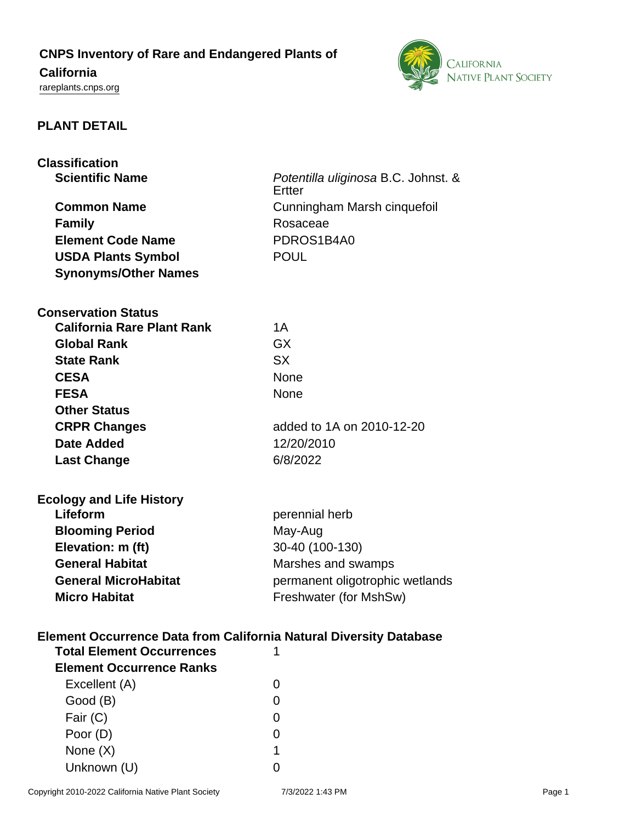## **CNPS Inventory of Rare and Endangered Plants of**

# **California**

<rareplants.cnps.org>



#### **PLANT DETAIL**

| <b>Classification</b>                                                     |                                               |  |
|---------------------------------------------------------------------------|-----------------------------------------------|--|
| <b>Scientific Name</b>                                                    | Potentilla uliginosa B.C. Johnst. &<br>Ertter |  |
| <b>Common Name</b>                                                        | Cunningham Marsh cinquefoil                   |  |
| <b>Family</b>                                                             | Rosaceae                                      |  |
| <b>Element Code Name</b>                                                  | PDROS1B4A0                                    |  |
|                                                                           |                                               |  |
| <b>USDA Plants Symbol</b>                                                 | <b>POUL</b>                                   |  |
| <b>Synonyms/Other Names</b>                                               |                                               |  |
| <b>Conservation Status</b>                                                |                                               |  |
| <b>California Rare Plant Rank</b>                                         | 1A                                            |  |
| <b>Global Rank</b>                                                        | <b>GX</b>                                     |  |
| <b>State Rank</b>                                                         | <b>SX</b>                                     |  |
| <b>CESA</b>                                                               | <b>None</b>                                   |  |
| <b>FESA</b>                                                               | <b>None</b>                                   |  |
| <b>Other Status</b>                                                       |                                               |  |
| <b>CRPR Changes</b>                                                       | added to 1A on 2010-12-20                     |  |
| Date Added                                                                | 12/20/2010                                    |  |
| <b>Last Change</b>                                                        | 6/8/2022                                      |  |
| <b>Ecology and Life History</b>                                           |                                               |  |
| Lifeform                                                                  | perennial herb                                |  |
| <b>Blooming Period</b>                                                    | May-Aug                                       |  |
| Elevation: m (ft)                                                         | 30-40 (100-130)                               |  |
| <b>General Habitat</b>                                                    | Marshes and swamps                            |  |
| <b>General MicroHabitat</b>                                               | permanent oligotrophic wetlands               |  |
| <b>Micro Habitat</b>                                                      | Freshwater (for MshSw)                        |  |
| <b>Element Occurrence Data from California Natural Diversity Database</b> |                                               |  |
| <b>Total Element Occurrences</b>                                          | 1                                             |  |
| <b>Element Occurrence Ranks</b>                                           |                                               |  |
| Excellent (A)                                                             | 0                                             |  |
| Good (B)                                                                  | 0                                             |  |
| Fair $(C)$                                                                | 0                                             |  |
| Poor (D)                                                                  | $\Omega$                                      |  |
| None $(X)$                                                                | 1                                             |  |
| Unknown (U)                                                               | 0                                             |  |